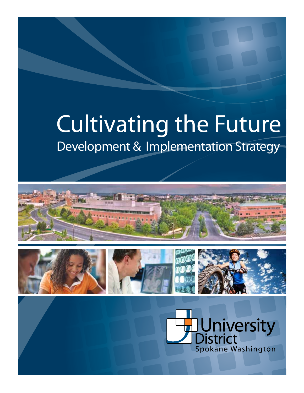## Development & Implementation Strategy Cultivating the Future





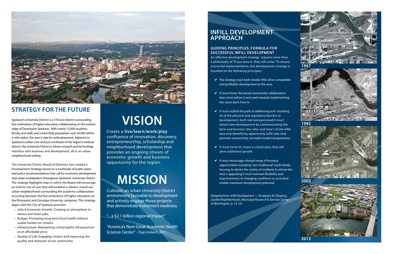#### **Guiding Principles: Formula for Successful Infill Development**

An effective development strategy requires more than a philosophy of "if you zone it, they will come." To ensure successful implementation, this development strategy is founded on the following principles:

- $\vee$  The strategy must both enable AND drive compatible and profitable development to the area.
- $\vee$  It must honor the broad community collaboration that come before it and work towards implementing the vision born from it.
- $\vee$  It must outline the path to addressing and resolving all of the physical and regulatory barriers to development, both real and perceived.It must attract new development by communicating the form and function (the 'why' and 'how') of the infill area and identifying opportunity infill sites that promote connectivity via multi-modal transportation.
- $\vee$  It must strive to create a critical mass that will drive additional growth.
- $\vee$  It must encourage a broad range of housing opportunities including "non-traditional" multi-family housing to attract the variety of residents to whom the area is appealing.It must maintain flexibility and responsiveness to changing conditions so as to best enable maximum development potential.

*(Adapted from: Infill Development — Strategies for Shaping Livable Neighborhoods; Municipal Research & Services Center of Washington, p. 13-14.)*

## **Infill Development approach**

# **Vision**

Create a **live/learn/work/play**  confluence of innovation, discovery, entrepreneurship, scholarship and neighborhood development that provides an ongoing stream of economic growth and business opportunity for the region.

# **Mission**

- Jobs & Economic Growth: Creating an atmosphere to attract and retain jobs.
- Budget: Promoting long-term fiscal health without undue burden on citizens.
- Infrastructure: Maintaining critical public infrastructure at an affordable price.
- • Quality of Life: Engaging citizens and improving the quality and character of our community.

Cultivate an urban University District environment favorable to development and actively engage those projects that demonstrate investment readiness.

"... a \$2.1 billion regional impact"

"America's Next Great Academic Health Science Center" *- Tripp Umbach, 2011*



## **STRATEGY FOR THE FUTURE**

Spokane's University District is a 770 acre district surrounding five institutions of higher education collaborating on the eastern edge of Downtown Spokane. With nearly 15,000 students, faculty and staff, and a total daily population over 54,000 within a mile radius, the area is ripe for redevelopment. Adjacent to Spokane's urban core and just northeast of the region's medical district, the University District is where research and technology interface with business and development, all in an urban neighborhood setting.

The University District Board of Directors has created a Development Strategy based on a multitude of public plans and policy recommendations that call for economic development and urban revitalization throughout Spokane's University District. The strategy highlights ways in which the Board will encourage an eclectic mix of uses that will establish a vibrant, mixed-use urban neighborhood surrounding the academic collaboration occurring between the five institutions of higher education on the Riverpoint and Gonzaga University campuses. This strategy aligns with the City of Spokane priorities:



**2013**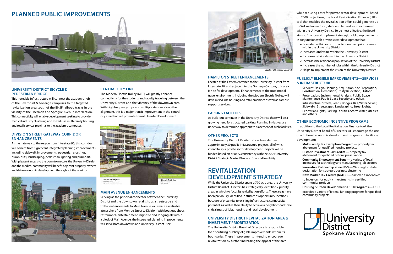

*Courtesy of Gonzaga University*



#### **University District Bicycle & Pedestrian Bridge**

This noteable infrastructure will connect the academic hub of the Riverpoint & Gonzaga campuses to the targeted revitalization area south of the BNSF railroad tracks in the vicinity of the Sherman and Sprague Avenue intersection. This connectivity will enable development seeking to provide medical industry clustering and mixed-use multi-family housing and retail services proximal to the academic campuses.

#### **Division Street Gateway Corridor Enhancements**

As the gateway to the region from Interstate 90, this corridor will benefit from significant integrated planning improvements including sidewalk improvements, pedestrian crossings, bump-outs, landscaping, pedestrian lighting and public art. With pleasant access to the downtown core, the University District and the medical community will benefit adjacent property owners and drive economic development throughout the corridor.



#### **Central City Line**

The Modern Electric Trolley (MET) will greatly enhance connectivity for the students and faculty traveling between the University District and the vibrancy of the downtown core. With high frequency trips and multiple stations along the alignment, this is a major transit improvement in the central city area that will promote Transit Oriented Development.



#### **Main Avenue Enhancements**

Serving as the principal connector between the University District and the downtown retail shops, streetscape and traffic enhancements to Main Avenue will create a walkable atmosphere from Monroe Street to Division. With boutique shops, restaurants, entertainment, nightlife and lodging all within a block of Main Avenue, the integrated planning improvements will serve both downtown and University District users.

#### **Hamilton Street Enhancements**

Located at the Eastern entrance to the University District from Interstate 90, and adjacent to the Gonzaga Campus, this area is ripe for development. Enhancements to the mutlimodal travel environment, including the Modern Electric Trolley, will drive mixed-use housing and retail amenities as well as campus support services.

#### **Parking Facilities**

As build-out continues in the University District, there will be a growing need for structured parking. Planning initiatives are underway to determine appropriate placement of such facilities.

#### **Other Projects**

The University District Revitalization Area defines approximately 30 public infrastructure projects, all of which intend to spur private sector development. Projects will be funded based on priority, consistency with the 2004 University District Strategic Master Plan, and financial feasibility.

## **Revitalization Development Strategy**

While the University District spans a 770 acre area, the University District Board of Directors has strategically identified 7 priority areas in which to focus its revitalization efforts. These areas have been previously identified in studies as opportunity locations because of proximity to existing infrastructure, connectivity potential, as well as their ability to achieve a neighborhood scale critical mass of jobs, housing and retail development.

#### **University District Revitalization Area & Investment Prioritization**

The University District Board of Directors is responsible for prioritizing publicly eligible improvements within its boundaries. These improvements intend to encourage revitalization by further increasing the appeal of the area

while reducing costs for private sector development. Based on 2009 projections, the Local Revitalization Finance (LRF) tool that enables the revitalization effort could generate up to \$41 million in local, state and federal sources to invest within the University District. To be most effective, the Board aims to finance and implement strategic public improvements in conjunction with private sector development that:

- $\vee$  Is located within or proximal to identified priority areas within the University District
- $\vee$  Increases land value within the University District
- $\vee$  Increases retail sales within the University District
- $\vee$  Increases the residential population of the University District
- $\vee$  Increases the number of jobs within the University District
- $\vee$  Helps to implement the vision of the University District

#### **Publicly Eligible Improvements—Services & Infrastructure**

- • Services: Design, Planning, Acquisition, Site Preparation, Construction, Demolition, Utility Relocation, Historic
- Preservation, Environmental Analysis, Public Space Maintenance, Public Space Security and others.
- Infrastructure: Streets, Roads, Bridges, Rail, Water, Sewer, Sidewalks, Streetscapes, Landscaping, Street Lights,
- Pedestrian Lights, Parking Facilities, Storm Water, Utilities and others.

#### **Other Economic Incentive Programs**

- In addition to the Local Revitalization Finance tool, the University District Board of Directors will encourage the use of additional economic development programs to facilitate development:
	- • **Multi-Family Tax Exemption Program**  property tax abatement for qualified housing projects
	- • **Historic Investment Tax Credits**  property tax abatement for qualified historic preservation
	- • **Community Empowerment Zone**  a variety of local incentives for technology and manufacturing job creators
	- • **Innovative Partnership Zone (IPZ)** Washington state designation for strategic business clustering
	- • **New Market Tax Credits (NMTC)** tax credit incentives to investors for equity investments in certified community projects.
	- • **Housing & Urban Development (HUD) Programs** HUD provides a variety of federal funding programs for qualified community projects.
- 

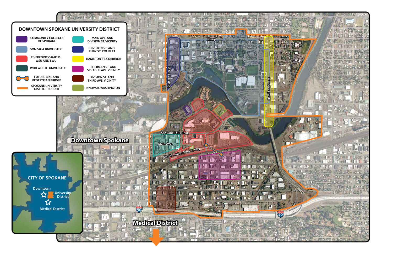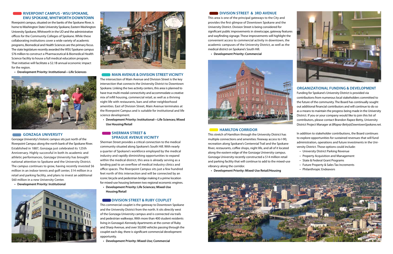#### **RIVERPOINT CAMPUS - WSU SPOKANE, EWU Spokane, Whitworth Downtown**

Riverpoint campus, situated on the banks of the Spokane River, is home to Washington State University Spokane, Eastern Washington University Spokane, Whitworth in the UD and the administrative offices for the Community Colleges of Spokane. While these collaborating institutions cover a wide variety of academic programs, Biomedical and Health Sciences are the primary focus. The state legislature recently awarded the WSU Spokane campus \$76 million to construct a Pharmaceutical & Biomedical Health Science facility to house a full medical education program. That initiative will facilitate a \$2.1B annual economic impact for the region.

**• Development Priority: Institutional—Life Sciences**



#### **GONZAGA UNIVERSITY**

#### **SHERMAN STREET & Sprague Avenue vicinity**

Gonzaga University's historic campus sits just north of the Riverpoint Campus along the north bank of the Spokane River. Established in 1887, Gonzaga just celebrated its 125th Anniversary. Highly successful in both its academic and athletic performances, Gonzaga University has brought national attention to Spokane and the University District. The campus continues to grow, having recently invested \$6 million in an indoor tennis and golf center, \$14 million in a retail and parking facility, and plans to invest an additional \$60 million in a new University Center.

 **• Development Priority: Institutional**





#### **MAIN AVENUE & DIVISION STREET VICINITY**

The intersection of Main Avenue and Division Street is the key intersection that connects the University District to Downtown Spokane. Linking the two activity centers, this area is planned to have true multi-modal connectivity and accommodate a creative mix of infill housing, commercial retail, as well as a thriving night life with restaurants, bars and other neighborhood amenities. East of Division Street, Main Avenue terminates at the Riverpoint Campus and is suitable for institutional and life science development.

**• Development Priority: Institutional—Life Sciences; Mixed Use Housing/Retail**

Sherman Street provides a critical connection to the medical community situated along Spokane's South Hill. With nearly a quarter of Spokane's workforce employed by the medical industry and rapidly diminishing opportunities to expand within the medical district, this area is already serving as a landing pad to an overflow of medical industry clinics and office spaces. The Riverpoint Campus sits just a few hundred feet north of this intersection and will be connected by an iconic bicycle and pedestrian bridge making it a prime location for mixed-use housing between two regional economic engines.

**• Development Priority: Life Sciences; Mixed-Use Housing/Retail**

#### **NO DIVISION STREET & RUBY COUPLET**

This commercial couplet is the gateway to Downtown Spokane and the University District from the north. It sits directly west of the Gonzaga University campus and is connected via trails and pedestrian walkways. With more than 400 student residents living in Gonzaga's Kennedy Apartments at the corner of Ruby and Sharp Avenue, and over 50,000 vehicles passing through the couplet each day, there is significant commercial development opportunity.

 **• Development Priority: Mixed-Use; Commercial**

#### **DIVISION STREET & 3RD AVENUE**

This area is one of the principal gateways to the City and provides the first glimpse of Downtown Spokane and the University District. Division Street is being considered for significant public improvements in streetscape, gateway features and wayfinding signage. These improvements will highlight the convenient access to commercial activity in downtown, the academic campuses of the University District, as well as the medical district on Spokane's South Hill.

 **• Development Priority: Commercial**



#### **EXECUTE: HAMILTON CORRIDOR**

This stretch of Hamilton through the University District has multiple connections and amenities: freeway access to I-90, recreation along Spokane's Centennial Trail and the Spokane River, restaurants, coffee shops, night life, and all of it located along the eastern edge of the Gonzaga University campus. Gonzaga University recently constructed a \$14 million retail and parking facility that will continue to add to the mixed-use vibrancy along the corridor.

**• Development Priority: Mixed-Use Retail/Housing**







### **Organizational Funding & Development**

Funding for Spokane's University District is provided via contributions from numerous local stakeholders committed to the future of the community. The Board has continually sought out additional financial contributors and will continue to do so as a means to maintain the progress being made in the University District. If you or your company would like to join this list of contributors, please contact Brandon Rapez-Betty, University District Project Manager at *BRapez-Betty@DowntownSpokane.net.*

In addition to stakeholder contributions, the Board continues to explore opportunities for sustained revenues that will fund administration, operations and future investments in the University District. Those options could include:

- • University District Parking Revenue
- • Property Acquisition and Management
- • State & Federal Grant Programs
- Future Property & Sales Tax Increments
- • Philanthropic Endeavors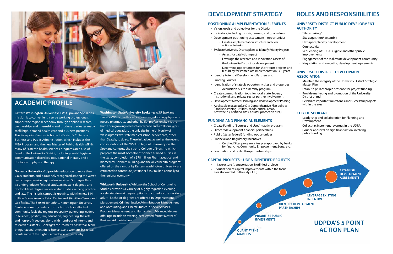## **Roles and Responsibilities**

#### **University District Public Development Authority**

- "Placemaking"
- • Site acquisition/ assembly
- • Flex-space/ facility development
- Connectivity
- Sequencing of UDRA- eligible and other public improvements
- Engagement of the real estate development community
- Negotiating and executing development agreements

- Maintain the integrity of the University District Strategic Master Plan
- Establish philanthropic presence for project funding
- Provide marketing and promotion of the University District brand
- • Celebrate important milestones and successful projects within the area

#### **University District Development Association**

### **City of Spokane**

- • Leadership and collaboration for Planning and Development
- • Collect tax increment revenues in the UDRA
- Council approval on significant action involving public funding

## **Development Strategy**

#### **Positioning & Implementation Elements**

- Infrastructure (transportation & utilities) projects
- area (forwarded to the City's CIP)



- • Vision, goals and objectives for the District
- Indicators, including historic, current, and goal values
- Development positioning assessment opportunities
	- • Create <sup>a</sup> implementation structure and clear actionable tasks
- Evaluate University District plans to identify Priority Projects
	- Assess for catalytic impact
	- Leverage the research and innovation assets of the University District for development
	- Determine opportunities for short-term projects and feasibility for immediate implementation: 3-5 years
- • Identify Potential Development Partners and Funding Sources
- Identification of strategic opportunity sites and properties • Acquisition & site assembly program
- • Create communication tools for local, state, federal, institutional, and private sector partner involvement
- Development Master Planning and Redevelopment Phasing
- • Applicable *and desirable* City Comprehensive Plan policies (land use, zoning, utilities, roads, critical areas, brownfields, certified sites, aquifer protection area)

#### **Funding and Financial Elements**

- Create Funding "Sources and Uses" matrix/ program
- Direct redevelopment financial partnerships
- Public (state/ federal) funding opportunities
- • Financial and Regulatory Incentives
	-
- Foundation and philanthropic partnerships

**Washington State University Spokane:** WSU Spokane serves as WSU's health sciences campus, educating physicians, nurses, pharmacists and other health professionals. It is the home of a growing research enterprise and a full four years of medical education, the only site in the University of Washington's five-state medical school service area, other than Seattle, to do so. These initiatives, as well as the recent consolidation of the WSU College of Pharmacy on the Spokane campus, the strong College of Nursing which prepares the most bachelor of science-trained nurses in the state, completion of a \$78 million Pharmaceutical and Biomedical Sciences Building, and the allied health programs offered on the campus by Eastern Washington University, are estimated to contribute just under \$350 million annually to the regional economy.

**Whitworth University:** Whitworth's School of Continuing Studies provides a variety of highly regarded evening, accelerated-format degree options structured for the working adult. Bachelor degrees are offered in Organizational Management, Criminal Justice Administration, Management and Accounting, and Liberal Studies in Social Services, Program Management, and Humanities. Advanced degree offerings include an evening, accelerated-format Master of Business Administration.



## **Academic Profile**

**Eastern Washington University:** EWU Spokane Spokane's mission is to conveniently serve working professionals, support the regional economy through applied research, partnerships and internships and produce graduates ready to fill high-demand health care and business positions. The Riverpoint Campus is home to Eastern's College of Business and Public Administration, which includes the MBA Program and the new Master of Public Health (MPH). Many of Eastern's health sciences programs area also offered in the University District, including dental hygiene, communication disorders, occupational therapy and a doctorate in physical therapy.

**Gonzaga University:** GU provides education to more than 7,800 students, and is routinely recognized among the West's best comprehensive regional universities. Gonzaga offers 75 undergraduate fields of study, 26 master's degrees, and doctoral-level degrees in leadership studies, nursing practice, and law. The historic campus is growing, with the new \$14 million Boone Avenue Retail Center and \$6 million Tennis and Golf facility. The \$60 million John J. Hemmingson University Center is currently under construction. GU's intellectual community fuels the region's prosperity, generating leaders in business, politics, law, education, engineering, the arts and non-profit sectors, along with hundreds of interns and research assistants. Gonzaga's top-25 men's basketball team brings national attention to Spokane, and women's basketball boasts some of the highest attendance in the country.